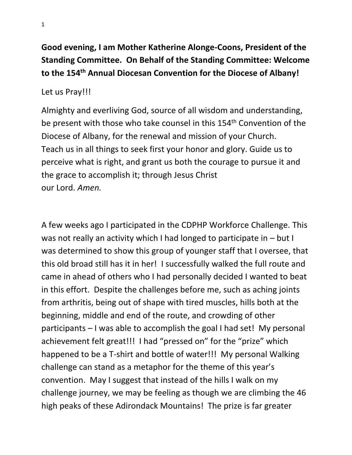# **Good evening, I am Mother Katherine Alonge-Coons, President of the Standing Committee. On Behalf of the Standing Committee: Welcome to the 154th Annual Diocesan Convention for the Diocese of Albany!**

### Let us Pray!!!

Almighty and everliving God, source of all wisdom and understanding, be present with those who take counsel in this 154<sup>th</sup> Convention of the Diocese of Albany, for the renewal and mission of your Church. Teach us in all things to seek first your honor and glory. Guide us to perceive what is right, and grant us both the courage to pursue it and the grace to accomplish it; through Jesus Christ our Lord. *Amen.*

A few weeks ago I participated in the CDPHP Workforce Challenge. This was not really an activity which I had longed to participate in – but I was determined to show this group of younger staff that I oversee, that this old broad still has it in her! I successfully walked the full route and came in ahead of others who I had personally decided I wanted to beat in this effort. Despite the challenges before me, such as aching joints from arthritis, being out of shape with tired muscles, hills both at the beginning, middle and end of the route, and crowding of other participants – I was able to accomplish the goal I had set! My personal achievement felt great!!! I had "pressed on" for the "prize" which happened to be a T-shirt and bottle of water!!! My personal Walking challenge can stand as a metaphor for the theme of this year's convention. May I suggest that instead of the hills I walk on my challenge journey, we may be feeling as though we are climbing the 46 high peaks of these Adirondack Mountains! The prize is far greater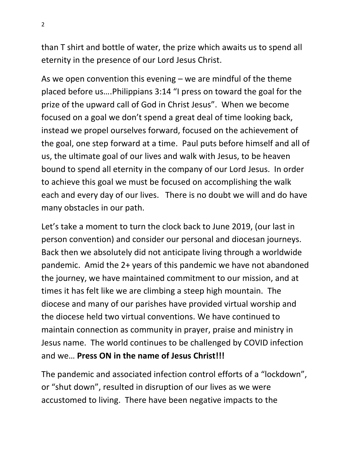than T shirt and bottle of water, the prize which awaits us to spend all eternity in the presence of our Lord Jesus Christ.

As we open convention this evening  $-$  we are mindful of the theme placed before us….Philippians 3:14 "I press on toward the goal for the prize of the upward call of God in Christ Jesus". When we become focused on a goal we don't spend a great deal of time looking back, instead we propel ourselves forward, focused on the achievement of the goal, one step forward at a time. Paul puts before himself and all of us, the ultimate goal of our lives and walk with Jesus, to be heaven bound to spend all eternity in the company of our Lord Jesus. In order to achieve this goal we must be focused on accomplishing the walk each and every day of our lives. There is no doubt we will and do have many obstacles in our path.

Let's take a moment to turn the clock back to June 2019, (our last in person convention) and consider our personal and diocesan journeys. Back then we absolutely did not anticipate living through a worldwide pandemic. Amid the 2+ years of this pandemic we have not abandoned the journey, we have maintained commitment to our mission, and at times it has felt like we are climbing a steep high mountain. The diocese and many of our parishes have provided virtual worship and the diocese held two virtual conventions. We have continued to maintain connection as community in prayer, praise and ministry in Jesus name. The world continues to be challenged by COVID infection and we… **Press ON in the name of Jesus Christ!!!**

The pandemic and associated infection control efforts of a "lockdown", or "shut down", resulted in disruption of our lives as we were accustomed to living. There have been negative impacts to the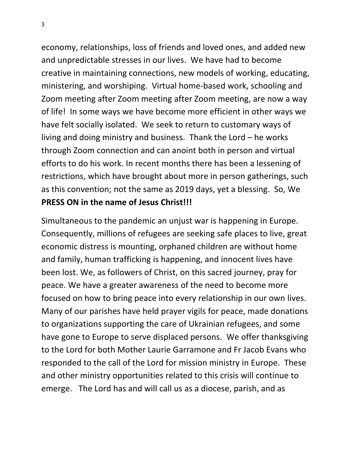economy, relationships, loss of friends and loved ones, and added new and unpredictable stresses in our lives. We have had to become creative in maintaining connections, new models of working, educating, ministering, and worshiping. Virtual home-based work, schooling and Zoom meeting after Zoom meeting after Zoom meeting, are now a way of life! In some ways we have become more efficient in other ways we have felt socially isolated. We seek to return to customary ways of living and doing ministry and business. Thank the Lord – he works through Zoom connection and can anoint both in person and virtual efforts to do his work. In recent months there has been a lessening of restrictions, which have brought about more in person gatherings, such as this convention; not the same as 2019 days, yet a blessing. So, We **PRESS ON in the name of Jesus Christ!!!**

Simultaneous to the pandemic an unjust war is happening in Europe. Consequently, millions of refugees are seeking safe places to live, great economic distress is mounting, orphaned children are without home and family, human trafficking is happening, and innocent lives have been lost. We, as followers of Christ, on this sacred journey, pray for peace. We have a greater awareness of the need to become more focused on how to bring peace into every relationship in our own lives. Many of our parishes have held prayer vigils for peace, made donations to organizations supporting the care of Ukrainian refugees, and some have gone to Europe to serve displaced persons. We offer thanksgiving to the Lord for both Mother Laurie Garramone and Fr Jacob Evans who responded to the call of the Lord for mission ministry in Europe. These and other ministry opportunities related to this crisis will continue to emerge. The Lord has and will call us as a diocese, parish, and as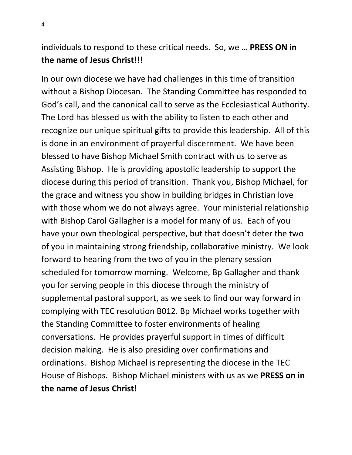# individuals to respond to these critical needs. So, we … **PRESS ON in the name of Jesus Christ!!!**

In our own diocese we have had challenges in this time of transition without a Bishop Diocesan. The Standing Committee has responded to God's call, and the canonical call to serve as the Ecclesiastical Authority. The Lord has blessed us with the ability to listen to each other and recognize our unique spiritual gifts to provide this leadership. All of this is done in an environment of prayerful discernment. We have been blessed to have Bishop Michael Smith contract with us to serve as Assisting Bishop. He is providing apostolic leadership to support the diocese during this period of transition. Thank you, Bishop Michael, for the grace and witness you show in building bridges in Christian love with those whom we do not always agree. Your ministerial relationship with Bishop Carol Gallagher is a model for many of us. Each of you have your own theological perspective, but that doesn't deter the two of you in maintaining strong friendship, collaborative ministry. We look forward to hearing from the two of you in the plenary session scheduled for tomorrow morning. Welcome, Bp Gallagher and thank you for serving people in this diocese through the ministry of supplemental pastoral support, as we seek to find our way forward in complying with TEC resolution B012. Bp Michael works together with the Standing Committee to foster environments of healing conversations. He provides prayerful support in times of difficult decision making. He is also presiding over confirmations and ordinations. Bishop Michael is representing the diocese in the TEC House of Bishops. Bishop Michael ministers with us as we **PRESS on in the name of Jesus Christ!**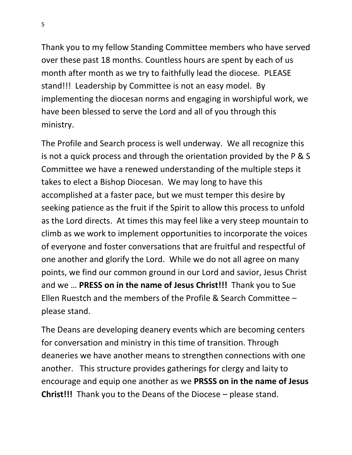Thank you to my fellow Standing Committee members who have served over these past 18 months. Countless hours are spent by each of us month after month as we try to faithfully lead the diocese. PLEASE stand!!! Leadership by Committee is not an easy model. By implementing the diocesan norms and engaging in worshipful work, we have been blessed to serve the Lord and all of you through this ministry.

The Profile and Search process is well underway. We all recognize this is not a quick process and through the orientation provided by the P & S Committee we have a renewed understanding of the multiple steps it takes to elect a Bishop Diocesan. We may long to have this accomplished at a faster pace, but we must temper this desire by seeking patience as the fruit if the Spirit to allow this process to unfold as the Lord directs. At times this may feel like a very steep mountain to climb as we work to implement opportunities to incorporate the voices of everyone and foster conversations that are fruitful and respectful of one another and glorify the Lord. While we do not all agree on many points, we find our common ground in our Lord and savior, Jesus Christ and we … **PRESS on in the name of Jesus Christ!!!** Thank you to Sue Ellen Ruestch and the members of the Profile & Search Committee – please stand.

The Deans are developing deanery events which are becoming centers for conversation and ministry in this time of transition. Through deaneries we have another means to strengthen connections with one another. This structure provides gatherings for clergy and laity to encourage and equip one another as we **PRSSS on in the name of Jesus Christ!!!** Thank you to the Deans of the Diocese – please stand.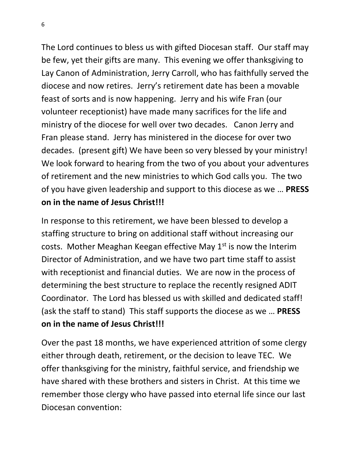The Lord continues to bless us with gifted Diocesan staff. Our staff may be few, yet their gifts are many. This evening we offer thanksgiving to Lay Canon of Administration, Jerry Carroll, who has faithfully served the diocese and now retires. Jerry's retirement date has been a movable feast of sorts and is now happening. Jerry and his wife Fran (our volunteer receptionist) have made many sacrifices for the life and ministry of the diocese for well over two decades. Canon Jerry and Fran please stand. Jerry has ministered in the diocese for over two decades. (present gift) We have been so very blessed by your ministry! We look forward to hearing from the two of you about your adventures of retirement and the new ministries to which God calls you. The two of you have given leadership and support to this diocese as we … **PRESS on in the name of Jesus Christ!!!**

In response to this retirement, we have been blessed to develop a staffing structure to bring on additional staff without increasing our costs. Mother Meaghan Keegan effective May  $1<sup>st</sup>$  is now the Interim Director of Administration, and we have two part time staff to assist with receptionist and financial duties. We are now in the process of determining the best structure to replace the recently resigned ADIT Coordinator. The Lord has blessed us with skilled and dedicated staff! (ask the staff to stand) This staff supports the diocese as we … **PRESS on in the name of Jesus Christ!!!**

Over the past 18 months, we have experienced attrition of some clergy either through death, retirement, or the decision to leave TEC. We offer thanksgiving for the ministry, faithful service, and friendship we have shared with these brothers and sisters in Christ. At this time we remember those clergy who have passed into eternal life since our last Diocesan convention: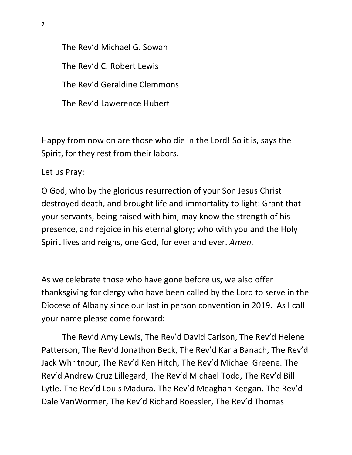The Rev'd Michael G. Sowan The Rev'd C. Robert Lewis The Rev'd Geraldine Clemmons The Rev'd Lawerence Hubert

Happy from now on are those who die in the Lord! So it is, says the Spirit, for they rest from their labors.

Let us Pray:

O God, who by the glorious resurrection of your Son Jesus Christ destroyed death, and brought life and immortality to light: Grant that your servants, being raised with him, may know the strength of his presence, and rejoice in his eternal glory; who with you and the Holy Spirit lives and reigns, one God, for ever and ever. *Amen.*

As we celebrate those who have gone before us, we also offer thanksgiving for clergy who have been called by the Lord to serve in the Diocese of Albany since our last in person convention in 2019. As I call your name please come forward:

The Rev'd Amy Lewis, The Rev'd David Carlson, The Rev'd Helene Patterson, The Rev'd Jonathon Beck, The Rev'd Karla Banach, The Rev'd Jack Whritnour, The Rev'd Ken Hitch, The Rev'd Michael Greene. The Rev'd Andrew Cruz Lillegard, The Rev'd Michael Todd, The Rev'd Bill Lytle. The Rev'd Louis Madura. The Rev'd Meaghan Keegan. The Rev'd Dale VanWormer, The Rev'd Richard Roessler, The Rev'd Thomas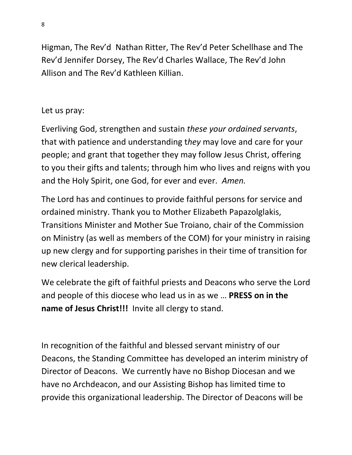Higman, The Rev'd Nathan Ritter, The Rev'd Peter Schellhase and The Rev'd Jennifer Dorsey, The Rev'd Charles Wallace, The Rev'd John Allison and The Rev'd Kathleen Killian.

#### Let us pray:

Everliving God, strengthen and sustain *these your ordained servants*, that with patience and understanding t*hey* may love and care for your people; and grant that together they may follow Jesus Christ, offering to you their gifts and talents; through him who lives and reigns with you and the Holy Spirit, one God, for ever and ever. *Amen.*

The Lord has and continues to provide faithful persons for service and ordained ministry. Thank you to Mother Elizabeth Papazolglakis, Transitions Minister and Mother Sue Troiano, chair of the Commission on Ministry (as well as members of the COM) for your ministry in raising up new clergy and for supporting parishes in their time of transition for new clerical leadership.

We celebrate the gift of faithful priests and Deacons who serve the Lord and people of this diocese who lead us in as we … **PRESS on in the name of Jesus Christ!!!** Invite all clergy to stand.

In recognition of the faithful and blessed servant ministry of our Deacons, the Standing Committee has developed an interim ministry of Director of Deacons. We currently have no Bishop Diocesan and we have no Archdeacon, and our Assisting Bishop has limited time to provide this organizational leadership. The Director of Deacons will be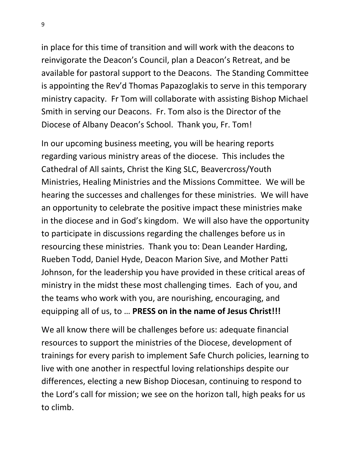in place for this time of transition and will work with the deacons to reinvigorate the Deacon's Council, plan a Deacon's Retreat, and be available for pastoral support to the Deacons. The Standing Committee is appointing the Rev'd Thomas Papazoglakis to serve in this temporary ministry capacity. Fr Tom will collaborate with assisting Bishop Michael Smith in serving our Deacons. Fr. Tom also is the Director of the Diocese of Albany Deacon's School. Thank you, Fr. Tom!

In our upcoming business meeting, you will be hearing reports regarding various ministry areas of the diocese. This includes the Cathedral of All saints, Christ the King SLC, Beavercross/Youth Ministries, Healing Ministries and the Missions Committee. We will be hearing the successes and challenges for these ministries. We will have an opportunity to celebrate the positive impact these ministries make in the diocese and in God's kingdom. We will also have the opportunity to participate in discussions regarding the challenges before us in resourcing these ministries. Thank you to: Dean Leander Harding, Rueben Todd, Daniel Hyde, Deacon Marion Sive, and Mother Patti Johnson, for the leadership you have provided in these critical areas of ministry in the midst these most challenging times. Each of you, and the teams who work with you, are nourishing, encouraging, and equipping all of us, to … **PRESS on in the name of Jesus Christ!!!**

We all know there will be challenges before us: adequate financial resources to support the ministries of the Diocese, development of trainings for every parish to implement Safe Church policies, learning to live with one another in respectful loving relationships despite our differences, electing a new Bishop Diocesan, continuing to respond to the Lord's call for mission; we see on the horizon tall, high peaks for us to climb.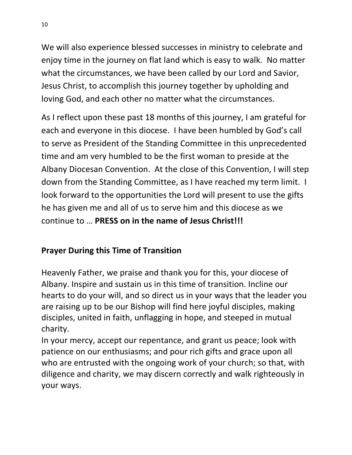We will also experience blessed successes in ministry to celebrate and enjoy time in the journey on flat land which is easy to walk. No matter what the circumstances, we have been called by our Lord and Savior, Jesus Christ, to accomplish this journey together by upholding and loving God, and each other no matter what the circumstances.

As I reflect upon these past 18 months of this journey, I am grateful for each and everyone in this diocese. I have been humbled by God's call to serve as President of the Standing Committee in this unprecedented time and am very humbled to be the first woman to preside at the Albany Diocesan Convention. At the close of this Convention, I will step down from the Standing Committee, as I have reached my term limit. I look forward to the opportunities the Lord will present to use the gifts he has given me and all of us to serve him and this diocese as we continue to … **PRESS on in the name of Jesus Christ!!!**

## **Prayer During this Time of Transition**

Heavenly Father, we praise and thank you for this, your diocese of Albany. Inspire and sustain us in this time of transition. Incline our hearts to do your will, and so direct us in your ways that the leader you are raising up to be our Bishop will find here joyful disciples, making disciples, united in faith, unflagging in hope, and steeped in mutual charity.

In your mercy, accept our repentance, and grant us peace; look with patience on our enthusiasms; and pour rich gifts and grace upon all who are entrusted with the ongoing work of your church; so that, with diligence and charity, we may discern correctly and walk righteously in your ways.